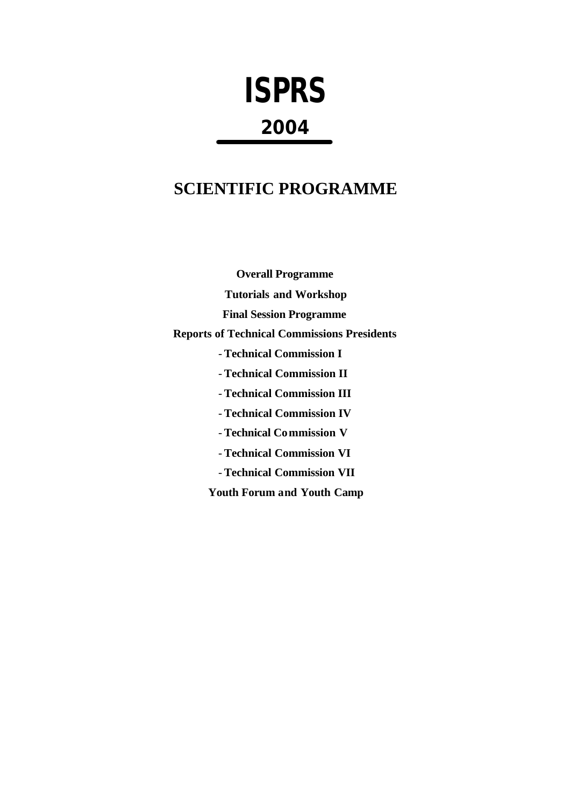# **ISPRS 2004**

## **SCIENTIFIC PROGRAMME**

**Overall Programme Tutorials and Workshop Final Session Programme Reports of Technical Commissions Presidents** - **Technical Commission I** - **Technical Commission II** - **Technical Commission III** - **Technical Commission IV** - **Technical Commission V** - **Technical Commission VI** - **Technical Commission VII Youth Forum and Youth Camp**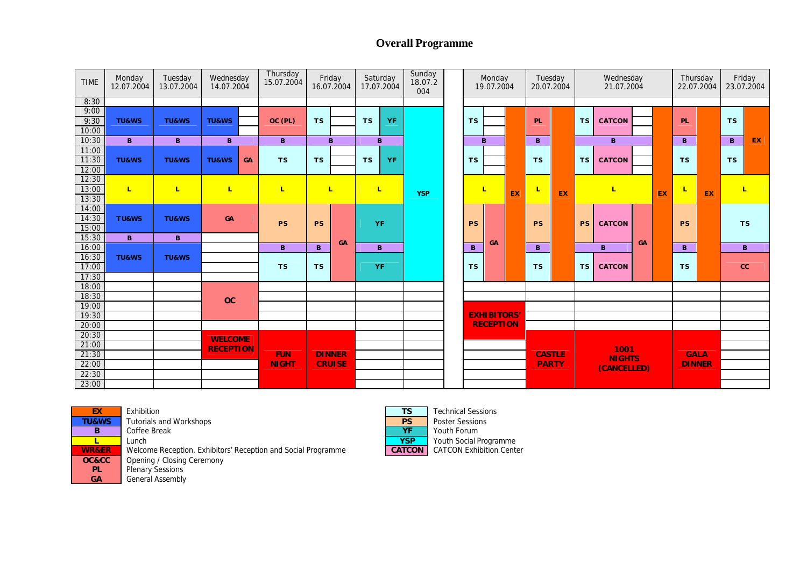## **Overall Programme**

| <b>TIME</b>             | Monday<br>12.07.2004 | Tuesday<br>13.07.2004 | Wednesday<br>14.07.2004 | Thursday<br>15.07.2004     | Friday<br>Saturday<br>16.07.2004<br>17.07.2004 |    | Sunday<br>18.07.2<br>004 |            |  | Monday<br>19.07.2004 |                    | Tuesday<br>20.07.2004 |                | Wednesday<br>21.07.2004 |               |               |    | Thursday<br>22.07.2004 |               | Friday<br>23.07.2004 |           |    |
|-------------------------|----------------------|-----------------------|-------------------------|----------------------------|------------------------------------------------|----|--------------------------|------------|--|----------------------|--------------------|-----------------------|----------------|-------------------------|---------------|---------------|----|------------------------|---------------|----------------------|-----------|----|
| 8:30                    |                      |                       |                         |                            |                                                |    |                          |            |  |                      |                    |                       |                |                         |               |               |    |                        |               |                      |           |    |
| 9:00<br>9:30<br>10:00   | <b>TU&amp;WS</b>     | <b>TU&amp;WS</b>      | <b>TU&amp;WS</b>        | OC (PL)                    | <b>TS</b>                                      |    | <b>YF</b><br><b>TS</b>   |            |  | <b>TS</b>            |                    |                       | PL             |                         | <b>TS</b>     | <b>CATCON</b> |    |                        | PL            |                      | <b>TS</b> |    |
| 10:30                   | $\mathbf{B}$         | $\mathbf{B}$          | $\mathbf B$             | $\mathbf{B}$               |                                                | B  | B                        |            |  |                      | B                  |                       | B              |                         |               | $\mathbf{B}$  |    |                        | B             |                      | B         | EX |
| 11:00<br>11:30<br>12:00 | <b>TU&amp;WS</b>     | <b>TU&amp;WS</b>      | <b>TU&amp;WS</b><br>GA  | <b>TS</b>                  | TS.                                            |    | <b>YF</b><br><b>TS</b>   |            |  | <b>TS</b><br>L       |                    | <b>TS</b>             |                | <b>TS</b>               | <b>CATCON</b> |               |    | <b>TS</b>              |               | <b>TS</b>            |           |    |
| 12:30<br>13:00<br>13:30 | $\mathbf{L}$         | L                     | L                       | $\mathbf{L}$               | L                                              |    | $\mathbf{L}$             | <b>YSP</b> |  |                      |                    | EX                    | τ<br><b>PS</b> | EX                      |               | L.            | EX |                        | 工             | EX                   | L         |    |
| 14:00<br>14:30<br>15:00 | <b>TU&amp;WS</b>     | <b>TU&amp;WS</b>      | GA                      | <b>PS</b>                  | <b>PS</b>                                      |    | <b>YF</b>                |            |  | <b>PS</b>            |                    |                       |                |                         | <b>PS</b>     | <b>CATCON</b> |    |                        | <b>PS</b>     |                      | <b>TS</b> |    |
| 15:30                   | B.                   | $\mathbf{B}$          |                         |                            |                                                | GA |                          |            |  |                      | GA                 |                       |                |                         |               |               | GA |                        |               |                      |           |    |
| 16:00                   |                      |                       |                         | $\mathbf{B}$               | $\mathbf{B}$                                   |    | B.                       |            |  | $\mathbf{B}$         |                    |                       | B              |                         |               | B             |    |                        |               |                      |           | B. |
| 16:30                   | <b>TU&amp;WS</b>     | <b>TU&amp;WS</b>      |                         | <b>TS</b>                  | <b>TS</b>                                      |    |                          |            |  |                      |                    |                       |                |                         |               |               |    |                        |               |                      |           |    |
| 17:00                   |                      |                       |                         |                            |                                                |    | <b>YF</b>                |            |  | <b>TS</b>            |                    |                       | <b>TS</b>      |                         | <b>TS</b>     | <b>CATCON</b> |    |                        | <b>TS</b>     |                      | cc        |    |
| 17:30                   |                      |                       |                         |                            |                                                |    |                          |            |  |                      |                    |                       |                |                         |               |               |    |                        |               |                      |           |    |
| 18:00                   |                      |                       |                         |                            |                                                |    |                          |            |  |                      |                    |                       |                |                         |               |               |    |                        |               |                      |           |    |
| 18:30                   |                      |                       | OC                      |                            |                                                |    |                          |            |  |                      | <b>EXHIBITORS'</b> |                       |                |                         |               |               |    |                        |               |                      |           |    |
| 19:00                   |                      |                       |                         |                            |                                                |    |                          |            |  |                      |                    |                       |                |                         |               |               |    |                        |               |                      |           |    |
| 19:30                   |                      |                       |                         |                            |                                                |    |                          |            |  | <b>RECEPTION</b>     |                    |                       |                |                         |               |               |    |                        |               |                      |           |    |
| 20:00<br>20:30          |                      |                       |                         |                            |                                                |    |                          |            |  |                      |                    |                       |                |                         |               |               |    |                        |               |                      |           |    |
| 21:00                   |                      |                       | <b>WELCOME</b>          |                            | <b>DINNER</b><br><b>CRUISE</b>                 |    |                          |            |  |                      |                    |                       |                |                         |               |               |    |                        | <b>GALA</b>   |                      |           |    |
| 21:30                   |                      |                       | <b>RECEPTION</b>        | <b>FUN</b><br><b>NIGHT</b> |                                                |    |                          |            |  |                      |                    |                       | <b>CASTLE</b>  |                         | 1001          |               |    |                        |               |                      |           |    |
| 22:00                   |                      |                       |                         |                            |                                                |    |                          |            |  |                      |                    |                       |                | <b>PARTY</b>            |               | <b>NIGHTS</b> |    |                        | <b>DINNER</b> |                      |           |    |
| 22:30                   |                      |                       |                         |                            |                                                |    |                          |            |  |                      |                    |                       |                |                         | (CANCELLED)   |               |    |                        |               |                      |           |    |
| 23:00                   |                      |                       |                         |                            |                                                |    |                          |            |  |                      |                    |                       |                |                         |               |               |    |                        |               |                      |           |    |



**B** Coffee Break **YF** Youth Forum **L** Lunch **WR&ER** Lunch **WR&ER** Velcome Reception, Exhibitors' Reception and Social Programme<br> **WR&ER** Welcome Reception, Exhibitors' Reception and Social Programme **CATCON** CATCON Exhibition Center **Welcome Reception, Exhibitors' Reception and Social Programme** Opening / Closing Ceremony Plenary Sessions General Assembly

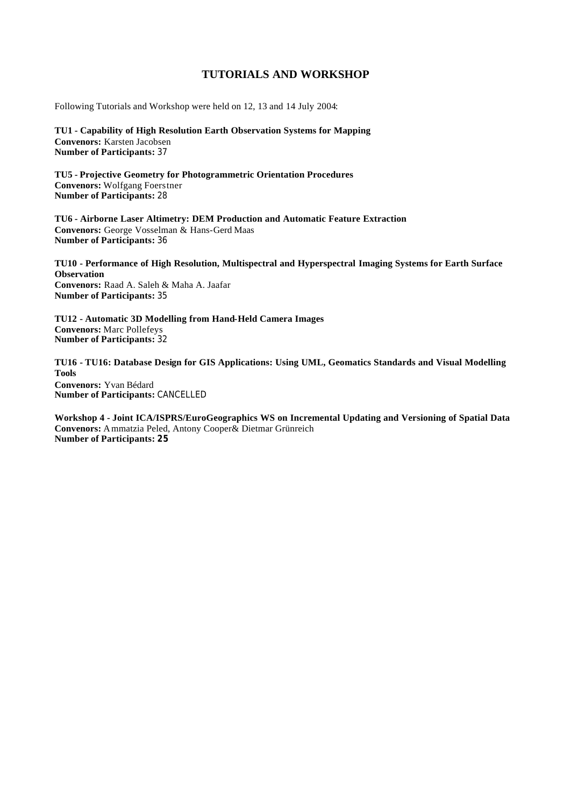## **TUTORIALS AND WORKSHOP**

Following Tutorials and Workshop were held on 12, 13 and 14 July 2004:

**TU1 - Capability of High Resolution Earth Observation Systems for Mapping Convenors:** Karsten Jacobsen **Number of Participants:** 37

**TU5 - Projective Geometry for Photogrammetric Orientation Procedures Convenors:** Wolfgang Foerstner **Number of Participants:** 28

**TU6 - Airborne Laser Altimetry: DEM Production and Automatic Feature Extraction Convenors:** George Vosselman & Hans-Gerd Maas **Number of Participants:** 36

**TU10 - Performance of High Resolution, Multispectral and Hyperspectral Imaging Systems for Earth Surface Observation Convenors:** Raad A. Saleh & Maha A. Jaafar **Number of Participants:** 35

**TU12 - Automatic 3D Modelling from Hand-Held Camera Images Convenors:** Marc Pollefeys **Number of Participants:** 32

**TU16 - TU16: Database Design for GIS Applications: Using UML, Geomatics Standards and Visual Modelling Tools Convenors:** Yvan Bédard **Number of Participants:** CANCELLED

**Workshop 4 - Joint ICA/ISPRS/EuroGeographics WS on Incremental Updating and Versioning of Spatial Data Convenors:** Ammatzia Peled, Antony Cooper& Dietmar Grünreich **Number of Participants: 25**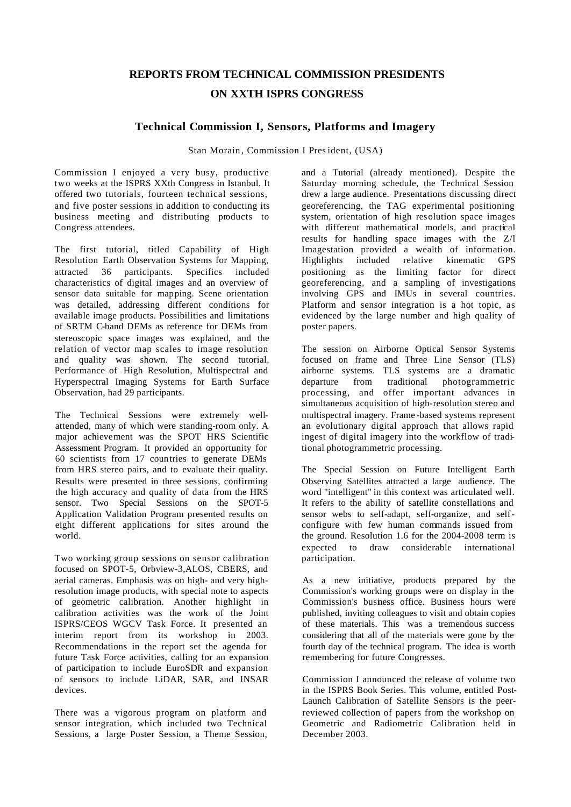## **REPORTS FROM TECHNICAL COMMISSION PRESIDENTS ON XXTH ISPRS CONGRESS**

## **Technical Commission I, Sensors, Platforms and Imagery**

Stan Morain, Commission I President, (USA)

Commission I enjoyed a very busy, productive two weeks at the ISPRS XXth Congress in Istanbul. It offered two tutorials, fourteen technical sessions, and five poster sessions in addition to conducting its business meeting and distributing products to Congress attendees.

The first tutorial, titled Capability of High Resolution Earth Observation Systems for Mapping, attracted 36 participants. Specifics included characteristics of digital images and an overview of sensor data suitable for mapping. Scene orientation was detailed, addressing different conditions for available image products. Possibilities and limitations of SRTM C-band DEMs as reference for DEMs from stereoscopic space images was explained, and the relation of vector map scales to image resolution and quality was shown. The second tutorial, Performance of High Resolution, Multispectral and Hyperspectral Imaging Systems for Earth Surface Observation, had 29 participants.

The Technical Sessions were extremely wellattended, many of which were standing-room only. A major achievement was the SPOT HRS Scientific Assessment Program. It provided an opportunity for 60 scientists from 17 countries to generate DEMs from HRS stereo pairs, and to evaluate their quality. Results were presented in three sessions, confirming the high accuracy and quality of data from the HRS sensor. Two Special Sessions on the SPOT-5 Application Validation Program presented results on eight different applications for sites around the world.

Two working group sessions on sensor calibration focused on SPOT-5, Orbview-3,ALOS, CBERS, and aerial cameras. Emphasis was on high- and very highresolution image products, with special note to aspects of geometric calibration. Another highlight in calibration activities was the work of the Joint ISPRS/CEOS WGCV Task Force. It presented an interim report from its workshop in 2003. Recommendations in the report set the agenda for future Task Force activities, calling for an expansion of participation to include EuroSDR and expansion of sensors to include LiDAR, SAR, and INSAR devices.

There was a vigorous program on platform and sensor integration, which included two Technical Sessions, a large Poster Session, a Theme Session, and a Tutorial (already mentioned). Despite the Saturday morning schedule, the Technical Session drew a large audience. Presentations discussing direct georeferencing, the TAG experimental positioning system, orientation of high resolution space images with different mathematical models, and practical results for handling space images with the Z/l Imagestation provided a wealth of information. Highlights included relative kinematic GPS positioning as the limiting factor for direct georeferencing, and a sampling of investigations involving GPS and IMUs in several countries. Platform and sensor integration is a hot topic, as evidenced by the large number and high quality of poster papers.

The session on Airborne Optical Sensor Systems focused on frame and Three Line Sensor (TLS) airborne systems. TLS systems are a dramatic departure from traditional photogrammetric processing, and offer important advances in simultaneous acquisition of high-resolution stereo and multispectral imagery. Frame -based systems represent an evolutionary digital approach that allows rapid ingest of digital imagery into the workflow of traditional photogrammetric processing.

The Special Session on Future Intelligent Earth Observing Satellites attracted a large audience. The word "intelligent" in this context was articulated well. It refers to the ability of satellite constellations and sensor webs to self-adapt, self-organize, and selfconfigure with few human commands issued from the ground. Resolution 1.6 for the 2004-2008 term is expected to draw considerable international participation.

As a new initiative, products prepared by the Commission's working groups were on display in the Commission's business office. Business hours were published, inviting colleagues to visit and obtain copies of these materials. This was a tremendous success considering that all of the materials were gone by the fourth day of the technical program. The idea is worth remembering for future Congresses.

Commission I announced the release of volume two in the ISPRS Book Series. This volume, entitled Post-Launch Calibration of Satellite Sensors is the peerreviewed collection of papers from the workshop on Geometric and Radiometric Calibration held in December 2003.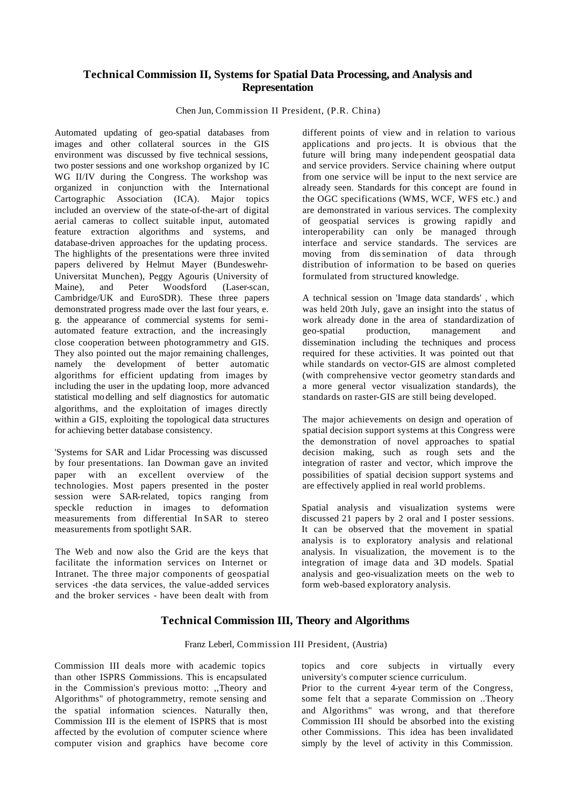## **Technical Commission II, Systems for Spatial Data Processing, and Analysis and Representation**

Chen Jun, Commission II President, (P.R. China)

Automated updating of geo-spatial databases from images and other collateral sources in the GIS environment was discussed by five technical sessions, two poster sessions and one workshop organized by IC WG II/IV during the Congress. The workshop was organized in conjunction with the International Cartographic Association (ICA). Major topics included an overview of the state-of-the-art of digital aerial cameras to collect suitable input, automated feature extraction algorithms and systems, and database-driven approaches for the updating process. The highlights of the presentations were three invited papers delivered by Helmut Mayer (Bundeswehr-Universitat Munchen), Peggy Agouris (University of Maine), and Peter Woodsford (Laser-scan, Cambridge/UK and EuroSDR). These three papers demonstrated progress made over the last four years, e. g. the appearance of commercial systems for semiautomated feature extraction, and the increasingly close cooperation between photogrammetry and GIS. They also pointed out the major remaining challenges, namely the development of better automatic algorithms for efficient updating from images by including the user in the updating loop, more advanced statistical mo delling and self diagnostics for automatic algorithms, and the exploitation of images directly within a GIS, exploiting the topological data structures for achieving better database consistency.

'Systems for SAR and Lidar Processing was discussed by four presentations. Ian Dowman gave an invited paper with an excellent overview of the technologies. Most papers presented in the poster session were SAR-related, topics ranging from speckle reduction in images to deformation measurements from differential In SAR to stereo measurements from spotlight SAR.

The Web and now also the Grid are the keys that facilitate the information services on Internet or Intranet. The three major components of geospatial services -the data services, the value-added services and the broker services - have been dealt with from

different points of view and in relation to various applications and pro jects. It is obvious that the future will bring many independent geospatial data and service providers. Service chaining where output from one service will be input to the next service are already seen. Standards for this concept are found in the OGC specifications (WMS, WCF, WFS etc.) and are demonstrated in various services. The complexity of geospatial services is growing rapidly and interoperability can only be managed through interface and service standards. The services are moving from dissemination of data through distribution of information to be based on queries formulated from structured knowledge.

A technical session on 'Image data standards' , which was held 20th July, gave an insight into the status of work already done in the area of standardization of geo-spatial production, management and dissemination including the techniques and process required for these activities. It was pointed out that while standards on vector-GIS are almost completed (with comprehensive vector geometry standards and a more general vector visualization standards), the standards on raster-GIS are still being developed.

The major achievements on design and operation of spatial decision support systems at this Congress were the demonstration of novel approaches to spatial decision making, such as rough sets and the integration of raster and vector, which improve the possibilities of spatial decision support systems and are effectively applied in real world problems.

Spatial analysis and visualization systems were discussed 21 papers by 2 oral and I poster sessions. It can be observed that the movement in spatial analysis is to exploratory analysis and relational analysis. In visualization, the movement is to the integration of image data and 3D models. Spatial analysis and geo-visualization meets on the web to form web-based exploratory analysis.

## **Technical Commission III, Theory and Algorithms**

Franz Leberl, Commission III President, (Austria)

Commission III deals more with academic topics than other ISPRS Commissions. This is encapsulated in the Commission's previous motto: ,,Theory and Algorithms" of photogrammetry, remote sensing and the spatial information sciences. Naturally then, Commission III is the element of ISPRS that is most affected by the evolution of computer science where computer vision and graphics have become core topics and core subjects in virtually every university's computer science curriculum.

Prior to the current 4-year term of the Congress, some felt that a separate Commission on ..Theory and Algorithms" was wrong, and that therefore Commission III should be absorbed into the existing other Commissions. This idea has been invalidated simply by the level of activity in this Commission.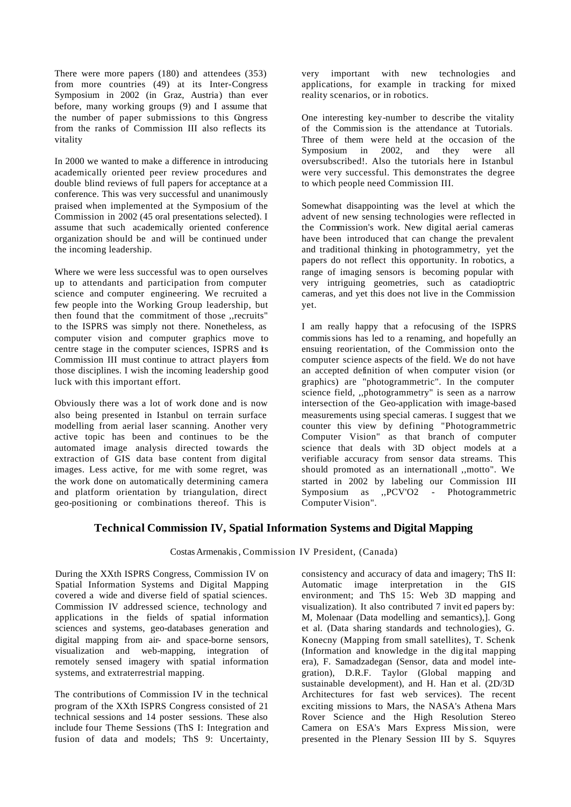There were more papers (180) and attendees (353) from more countries (49) at its Inter-Congress Symposium in 2002 (in Graz, Austria) than ever before, many working groups (9) and I assume that the number of paper submissions to this Congress from the ranks of Commission III also reflects its vitality

In 2000 we wanted to make a difference in introducing academically oriented peer review procedures and double blind reviews of full papers for acceptance at a conference. This was very successful and unanimously praised when implemented at the Symposium of the Commission in 2002 (45 oral presentations selected). I assume that such academically oriented conference organization should be and will be continued under the incoming leadership.

Where we were less successful was to open ourselves up to attendants and participation from computer science and computer engineering. We recruited a few people into the Working Group leadership, but then found that the commitment of those ,,recruits" to the ISPRS was simply not there. Nonetheless, as computer vision and computer graphics move to centre stage in the computer sciences, ISPRS and its Commission III must continue to attract players from those disciplines. I wish the incoming leadership good luck with this important effort.

Obviously there was a lot of work done and is now also being presented in Istanbul on terrain surface modelling from aerial laser scanning. Another very active topic has been and continues to be the automated image analysis directed towards the extraction of GIS data base content from digital images. Less active, for me with some regret, was the work done on automatically determining camera and platform orientation by triangulation, direct geo-positioning or combinations thereof. This is

very important with new technologies and applications, for example in tracking for mixed reality scenarios, or in robotics.

One interesting key-number to describe the vitality of the Commission is the attendance at Tutorials. Three of them were held at the occasion of the Symposium in 2002, and they were all oversubscribed!. Also the tutorials here in Istanbul were very successful. This demonstrates the degree to which people need Commission III.

Somewhat disappointing was the level at which the advent of new sensing technologies were reflected in the Commission's work. New digital aerial cameras have been introduced that can change the prevalent and traditional thinking in photogrammetry, yet the papers do not reflect this opportunity. In robotics, a range of imaging sensors is becoming popular with very intriguing geometries, such as catadioptric cameras, and yet this does not live in the Commission yet.

I am really happy that a refocusing of the ISPRS commissions has led to a renaming, and hopefully an ensuing reorientation, of the Commission onto the computer science aspects of the field. We do not have an accepted definition of when computer vision (or graphics) are "photogrammetric". In the computer science field, ,,photogrammetry" is seen as a narrow intersection of the Geo-application with image-based measurements using special cameras. I suggest that we counter this view by defining "Photogrammetric Computer Vision" as that branch of computer science that deals with 3D object models at a verifiable accuracy from sensor data streams. This should promoted as an internationall ,,motto". We started in 2002 by labeling our Commission III Symposium as ,,PCV'O2 - Photogrammetric Computer Vision".

## **Technical Commission IV, Spatial Information Systems and Digital Mapping**

Costas Armenakis, Commission IV President, (Canada)

During the XXth ISPRS Congress, Commission IV on Spatial Information Systems and Digital Mapping covered a wide and diverse field of spatial sciences. Commission IV addressed science, technology and applications in the fields of spatial information sciences and systems, geo-databases generation and digital mapping from air- and space-borne sensors, visualization and web-mapping, integration of remotely sensed imagery with spatial information systems, and extraterrestrial mapping.

The contributions of Commission IV in the technical program of the XXth ISPRS Congress consisted of 21 technical sessions and 14 poster sessions. These also include four Theme Sessions (ThS I: Integration and fusion of data and models; ThS 9: Uncertainty, consistency and accuracy of data and imagery; ThS II: Automatic image interpretation in the GIS environment; and ThS 15: Web 3D mapping and visualization). It also contributed 7 invit ed papers by: M, Molenaar (Data modelling and semantics),]. Gong et al. (Data sharing standards and technologies), G. Konecny (Mapping from small satellites), T. Schenk (Information and knowledge in the dig ital mapping era), F. Samadzadegan (Sensor, data and model integration), D.R.F. Taylor (Global mapping and sustainable development), and H. Han et al. (2D/3D Architectures for fast web services). The recent exciting missions to Mars, the NASA's Athena Mars Rover Science and the High Resolution Stereo Camera on ESA's Mars Express Mission, were presented in the Plenary Session III by S. Squyres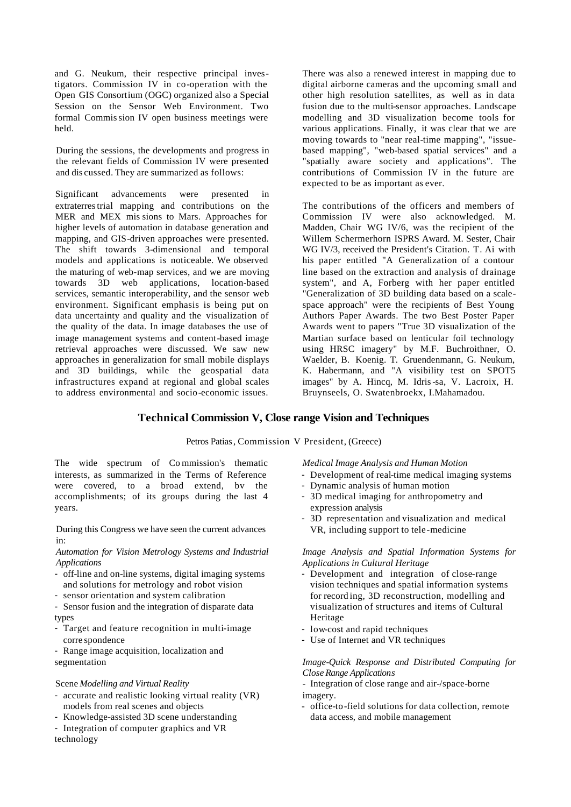and G. Neukum, their respective principal investigators. Commission IV in co-operation with the Open GIS Consortium (OGC) organized also a Special Session on the Sensor Web Environment. Two formal Commission IV open business meetings were held.

During the sessions, the developments and progress in the relevant fields of Commission IV were presented and dis cussed. They are summarized as follows:

Significant advancements were presented in extraterrestrial mapping and contributions on the MER and MEX mis sions to Mars. Approaches for higher levels of automation in database generation and mapping, and GIS-driven approaches were presented. The shift towards 3-dimensional and temporal models and applications is noticeable. We observed the maturing of web-map services, and we are moving towards 3D web applications, location-based services, semantic interoperability, and the sensor web environment. Significant emphasis is being put on data uncertainty and quality and the visualization of the quality of the data. In image databases the use of image management systems and content-based image retrieval approaches were discussed. We saw new approaches in generalization for small mobile displays and 3D buildings, while the geospatial data infrastructures expand at regional and global scales to address environmental and socio-economic issues.

There was also a renewed interest in mapping due to digital airborne cameras and the upcoming small and other high resolution satellites, as well as in data fusion due to the multi-sensor approaches. Landscape modelling and 3D visualization become tools for various applications. Finally, it was clear that we are moving towards to "near real-time mapping", "issuebased mapping", "web-based spatial services" and a "spatially aware society and applications". The contributions of Commission IV in the future are expected to be as important as ever.

The contributions of the officers and members of Commission IV were also acknowledged. M. Madden, Chair WG IV/6, was the recipient of the Willem Schermerhorn ISPRS Award. M. Sester, Chair WG IV/3, received the President's Citation. T. Ai with his paper entitled "A Generalization of a contour line based on the extraction and analysis of drainage system", and A, Forberg with her paper entitled "Generalization of 3D building data based on a scalespace approach" were the recipients of Best Young Authors Paper Awards. The two Best Poster Paper Awards went to papers "True 3D visualization of the Martian surface based on lenticular foil technology using HRSC imagery" by M.F. Buchroithner, O. Waelder, B. Koenig. T. Gruendenmann, G. Neukum, K. Habermann, and "A visibility test on SPOT5 images" by A. Hincq, M. Idris-sa, V. Lacroix, H. Bruynseels, O. Swatenbroekx, I.Mahamadou.

## **Technical Commission V, Close range Vision and Techniques**

#### Petros Patias, Commission V President, (Greece)

The wide spectrum of Co mmission's thematic interests, as summarized in the Terms of Reference were covered, to a broad extend, bv the accomplishments; of its groups during the last 4 years.

During this Congress we have seen the current advances in:

*Automation for Vision Metrology Systems and Industrial Applications*

- off-line and on-line systems, digital imaging systems and solutions for metrology and robot vision
- sensor orientation and system calibration
- Sensor fusion and the integration of disparate data types
- Target and feature recognition in multi-image corre spondence
- Range image acquisition, localization and segmentation

#### Scene *Modelling and Virtual Reality*

- accurate and realistic looking virtual reality (VR) models from real scenes and objects
- Knowledge-assisted 3D scene understanding
- Integration of computer graphics and VR technology

*Medical Image Analysis and Human Motion*

- Development of real-time medical imaging systems
- Dynamic analysis of human motion
- 3D medical imaging for anthropometry and expression analysis
- 3D representation and visualization and medical VR, including support to tele-medicine

#### *Image Analysis and Spatial Information Systems for Applications in Cultural Heritage*

- Development and integration of close-range vision techniques and spatial information systems for record ing, 3D reconstruction, modelling and visualization of structures and items of Cultural Heritage
- low-cost and rapid techniques
- Use of Internet and VR techniques

#### *Image-Quick Response and Distributed Computing for Close Range Applications*

*-* Integration of close range and air-/space-borne imagery.

- office-to-field solutions for data collection, remote data access, and mobile management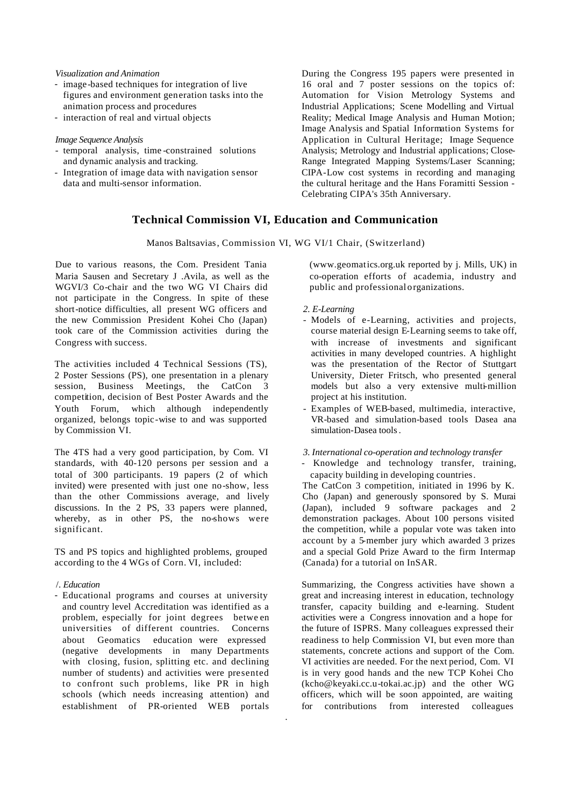#### *Visualization and Animation*

- image-based techniques for integration of live figures and environment generation tasks into the animation process and procedures
- interaction of real and virtual objects

#### *Image Sequence Analysis*

- *-* temporal analysis, time -constrained solutions and dynamic analysis and tracking.
- Integration of image data with navigation sensor data and multi-sensor information.

During the Congress 195 papers were presented in 16 oral and 7 poster sessions on the topics of: Automation for Vision Metrology Systems and Industrial Applications; Scene Modelling and Virtual Reality; Medical Image Analysis and Human Motion; Image Analysis and Spatial Information Systems for Application in Cultural Heritage; Image Sequence Analysis; Metrology and Industrial applications; Close-Range Integrated Mapping Systems/Laser Scanning; CIPA-Low cost systems in recording and managing the cultural heritage and the Hans Foramitti Session - Celebrating CIPA's 35th Anniversary.

## **Technical Commission VI, Education and Communication**

Manos Baltsavias, Commission VI, WG VI/1 Chair, (Switzerland)

.

Due to various reasons, the Com. President Tania Maria Sausen and Secretary J .Avila, as well as the WGVI/3 Co-chair and the two WG VI Chairs did not participate in the Congress. In spite of these short-notice difficulties, all present WG officers and the new Commission President Kohei Cho (Japan) took care of the Commission activities during the Congress with success.

The activities included 4 Technical Sessions (TS), 2 Poster Sessions (PS), one presentation in a plenary session, Business Meetings, the CatCon 3 competition, decision of Best Poster Awards and the Youth Forum, which although independently organized, belongs topic-wise to and was supported by Commission VI.

The 4TS had a very good participation, by Com. VI standards, with 40-120 persons per session and a total of 300 participants. 19 papers (2 of which invited) were presented with just one no-show, less than the other Commissions average, and lively discussions. In the 2 PS, 33 papers were planned, whereby, as in other PS, the no-shows were significant.

TS and PS topics and highlighted problems, grouped according to the 4 WGs of Corn. VI, included:

#### /. *Education*

- Educational programs and courses at university and country level Accreditation was identified as a problem, especially for joint degrees betwe en universities of different countries. Concerns about Geomatics education were expressed (negative developments in many Departments with closing, fusion, splitting etc. and declining number of students) and activities were presented to confront such problems, like PR in high schools (which needs increasing attention) and establishment of PR-oriented WEB portals

(www.geomatics.org.uk reported by j. Mills, UK) in co-operation efforts of academia, industry and public and professionalorganizations.

#### *2. E-Learning*

- Models of e-Learning, activities and projects, course material design E-Learning seems to take off, with increase of investments and significant activities in many developed countries. A highlight was the presentation of the Rector of Stuttgart University, Dieter Fritsch, who presented general models but also a very extensive multi-million project at his institution.
- Examples of WEB-based, multimedia, interactive, VR-based and simulation-based tools Dasea ana simulation-Dasea tools.

*3. International co-operation and technology transfer* 

- Knowledge and technology transfer, training, capacity building in developing countries.

The CatCon 3 competition, initiated in 1996 by K. Cho (Japan) and generously sponsored by S. Murai (Japan), included 9 software packages and 2 demonstration packages. About 100 persons visited the competition, while a popular vote was taken into account by a 5-member jury which awarded 3 prizes and a special Gold Prize Award to the firm Intermap (Canada) for a tutorial on InSAR.

Summarizing, the Congress activities have shown a great and increasing interest in education, technology transfer, capacity building and e-learning. Student activities were a Congress innovation and a hope for the future of ISPRS. Many colleagues expressed their readiness to help Commission VI, but even more than statements, concrete actions and support of the Com. VI activities are needed. For the next period, Com. VI is in very good hands and the new TCP Kohei Cho (kcho@keyaki.cc.u-tokai.ac.jp) and the other WG officers, which will be soon appointed, are waiting for contributions from interested colleagues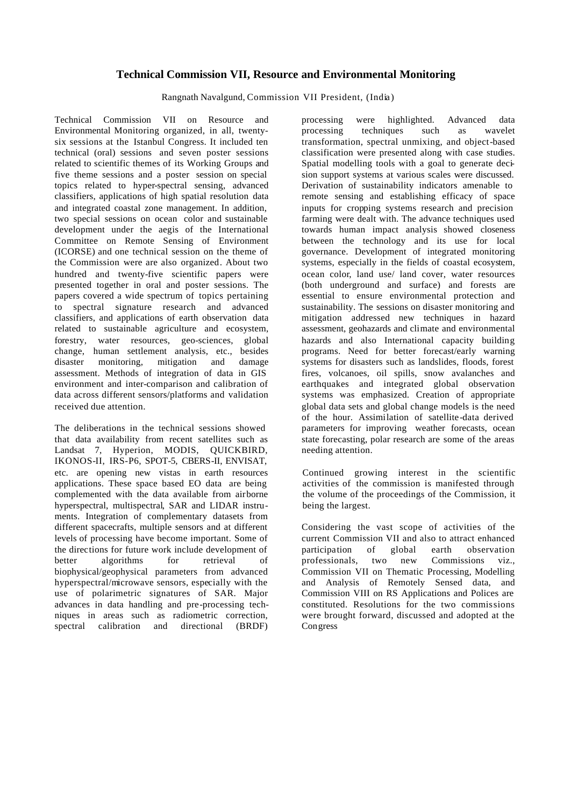## **Technical Commission VII, Resource and Environmental Monitoring**

Rangnath Navalgund, Commission VII President, (India)

Technical Commission VII on Resource and Environmental Monitoring organized, in all, twentysix sessions at the Istanbul Congress. It included ten technical (oral) sessions and seven poster sessions related to scientific themes of its Working Groups and five theme sessions and a poster session on special topics related to hyper-spectral sensing, advanced classifiers, applications of high spatial resolution data and integrated coastal zone management. In addition, two special sessions on ocean color and sustainable development under the aegis of the International Committee on Remote Sensing of Environment (ICORSE) and one technical session on the theme of the Commission were are also organized. About two hundred and twenty-five scientific papers were presented together in oral and poster sessions. The papers covered a wide spectrum of topics pertaining to spectral signature research and advanced classifiers, and applications of earth observation data related to sustainable agriculture and ecosystem, forestry, water resources, geo-sciences, global change, human settlement analysis, etc., besides disaster monitoring, mitigation and damage assessment. Methods of integration of data in GIS environment and inter-comparison and calibration of data across different sensors/platforms and validation received due attention.

The deliberations in the technical sessions showed that data availability from recent satellites such as Landsat 7, Hyperion, MODIS, QUICKBIRD, IKONOS-II, IRS-P6, SPOT-5, CBERS-II, ENVISAT, etc. are opening new vistas in earth resources applications. These space based EO data are being complemented with the data available from airborne hyperspectral, multispectral, SAR and LIDAR instruments. Integration of complementary datasets from different spacecrafts, multiple sensors and at different levels of processing have become important. Some of the directions for future work include development of better algorithms for retrieval of biophysical/geophysical parameters from advanced hyperspectral/microwave sensors, especially with the use of polarimetric signatures of SAR. Major advances in data handling and pre-processing techniques in areas such as radiometric correction, spectral calibration and directional (BRDF)

processing were highlighted. Advanced data processing techniques such as wavelet transformation, spectral unmixing, and object-based classification were presented along with case studies. Spatial modelling tools with a goal to generate decision support systems at various scales were discussed. Derivation of sustainability indicators amenable to remote sensing and establishing efficacy of space inputs for cropping systems research and precision farming were dealt with. The advance techniques used towards human impact analysis showed closeness between the technology and its use for local governance. Development of integrated monitoring systems, especially in the fields of coastal ecosystem, ocean color, land use/ land cover, water resources (both underground and surface) and forests are essential to ensure environmental protection and sustainability. The sessions on disaster monitoring and mitigation addressed new techniques in hazard assessment, geohazards and climate and environmental hazards and also International capacity building programs. Need for better forecast/early warning systems for disasters such as landslides, floods, forest fires, volcanoes, oil spills, snow avalanches and earthquakes and integrated global observation systems was emphasized. Creation of appropriate global data sets and global change models is the need of the hour. Assimilation of satellite-data derived parameters for improving weather forecasts, ocean state forecasting, polar research are some of the areas needing attention.

Continued growing interest in the scientific activities of the commission is manifested through the volume of the proceedings of the Commission, it being the largest.

Considering the vast scope of activities of the current Commission VII and also to attract enhanced participation of global earth observation professionals, two new Commissions viz., Commission VII on Thematic Processing, Modelling and Analysis of Remotely Sensed data, and Commission VIII on RS Applications and Polices are constituted. Resolutions for the two commissions were brought forward, discussed and adopted at the **Congress**